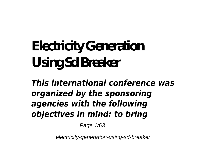## **Electricity Generation Using Sd Breaker**

*This international conference was organized by the sponsoring agencies with the following objectives in mind: to bring*

Page 1/63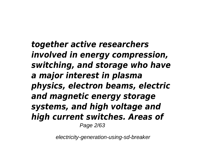*together active researchers involved in energy compression, switching, and storage who have a major interest in plasma physics, electron beams, electric and magnetic energy storage systems, and high voltage and high current switches. Areas of* Page 2/63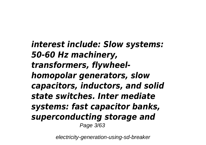*interest include: Slow systems: 50-60 Hz machinery, transformers, flywheelhomopolar generators, slow capacitors, inductors, and solid state switches. Inter mediate systems: fast capacitor banks, superconducting storage and* Page 3/63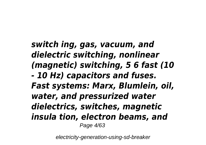*switch ing, gas, vacuum, and dielectric switching, nonlinear (magnetic) switching, 5 6 fast (10 - 10 Hz) capacitors and fuses. Fast systems: Marx, Blumlein, oil, water, and pressurized water dielectrics, switches, magnetic insula tion, electron beams, and* Page 4/63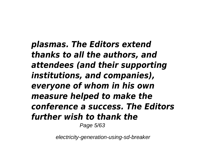*plasmas. The Editors extend thanks to all the authors, and attendees (and their supporting institutions, and companies), everyone of whom in his own measure helped to make the conference a success. The Editors further wish to thank the* Page 5/63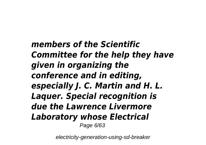*members of the Scientific Committee for the help they have given in organizing the conference and in editing, especially J. C. Martin and H. L. Laquer. Special recognition is due the Lawrence Livermore Laboratory whose Electrical* Page 6/63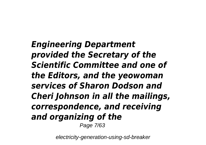*Engineering Department provided the Secretary of the Scientific Committee and one of the Editors, and the yeowoman services of Sharon Dodson and Cheri Johnson in all the mailings, correspondence, and receiving and organizing of the* Page 7/63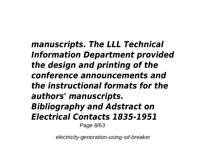*manuscripts. The LLL Technical Information Department provided the design and printing of the conference announcements and the instructional formats for the authors' manuscripts. Bibliography and Adstract on Electrical Contacts 1835-1951* Page 8/63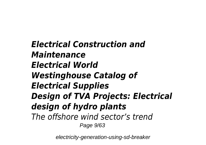*Electrical Construction and Maintenance Electrical World Westinghouse Catalog of Electrical Supplies Design of TVA Projects: Electrical design of hydro plants The offshore wind sector's trend* Page  $9/63$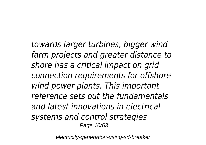*towards larger turbines, bigger wind farm projects and greater distance to shore has a critical impact on grid connection requirements for offshore wind power plants. This important reference sets out the fundamentals and latest innovations in electrical systems and control strategies* Page 10/63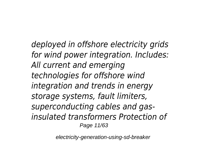*deployed in offshore electricity grids for wind power integration. Includes: All current and emerging technologies for offshore wind integration and trends in energy storage systems, fault limiters, superconducting cables and gasinsulated transformers Protection of* Page 11/63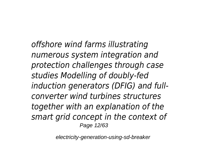*offshore wind farms illustrating numerous system integration and protection challenges through case studies Modelling of doubly-fed induction generators (DFIG) and fullconverter wind turbines structures together with an explanation of the smart grid concept in the context of* Page 12/63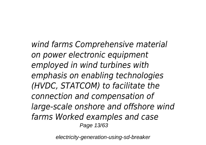*wind farms Comprehensive material on power electronic equipment employed in wind turbines with emphasis on enabling technologies (HVDC, STATCOM) to facilitate the connection and compensation of large-scale onshore and offshore wind farms Worked examples and case* Page 13/63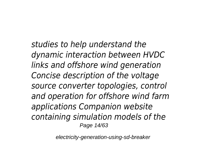*studies to help understand the dynamic interaction between HVDC links and offshore wind generation Concise description of the voltage source converter topologies, control and operation for offshore wind farm applications Companion website containing simulation models of the* Page 14/63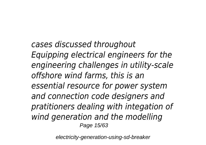*cases discussed throughout Equipping electrical engineers for the engineering challenges in utility-scale offshore wind farms, this is an essential resource for power system and connection code designers and pratitioners dealing with integation of wind generation and the modelling* Page 15/63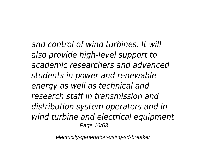*and control of wind turbines. It will also provide high-level support to academic researchers and advanced students in power and renewable energy as well as technical and research staff in transmission and distribution system operators and in wind turbine and electrical equipment* Page 16/63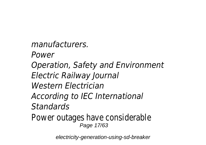*manufacturers. Power Operation, Safety and Environment Electric Railway Journal Western Electrician According to IEC International Standards* Power outages have considerable

Page 17/63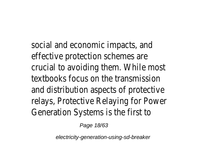social and economic impacts, and effective protection schemes are crucial to avoiding them. While most textbooks focus on the transmission and distribution aspects of protective relays, Protective Relaying for Power Generation Systems is the first to

Page 18/63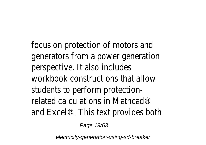focus on protection of motors and generators from a power generation perspective. It also includes workbook constructions that allow students to perform protectionrelated calculations in Mathcad® and Excel®. This text provides both

Page 19/63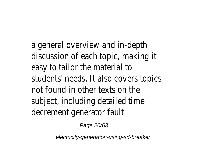a general overview and in-depth discussion of each topic, making it easy to tailor the material to students' needs. It also covers topics not found in other texts on the subject, including detailed time decrement generator fault

Page 20/63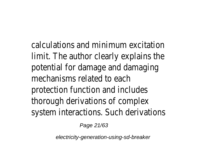calculations and minimum excitation limit. The author clearly explains the potential for damage and damaging mechanisms related to each protection function and includes thorough derivations of complex system interactions. Such derivations

Page 21/63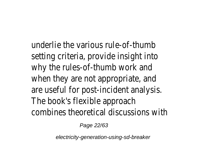underlie the various rule-of-thumb setting criteria, provide insight into why the rules-of-thumb work and when they are not appropriate, and are useful for post-incident analysis. The book's flexible approach combines theoretical discussions with

Page 22/63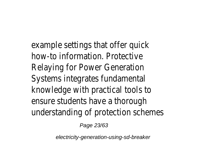example settings that offer quick how-to information. Protective Relaying for Power Generation Systems integrates fundamental knowledge with practical tools to ensure students have a thorough understanding of protection schemes

Page 23/63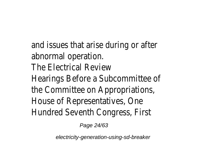and issues that arise during or after abnormal operation.

The Electrical Review

Hearings Before a Subcommittee of

the Committee on Appropriations, House of Representatives, One Hundred Seventh Congress, First

Page 24/63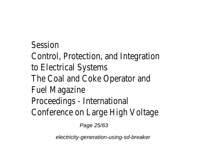Session Control, Protection, and Integration to Electrical Systems The Coal and Coke Operator and Fuel Magazine Proceedings - International Conference on Large High Voltage

Page 25/63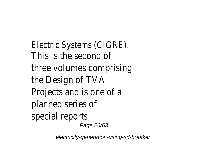Electric Systems (CIGRE). This is the second of three volumes comprising the Design of TVA Projects and is one of a planned series of special reports Page 26/63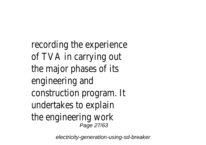recording the experience of TVA in carrying out the major phases of its engineering and construction program. It undertakes to explain the engineering work Page 27/63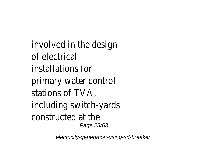involved in the design of electrical installations for primary water control stations of TVA, including switch-yards constructed at the Page 28/63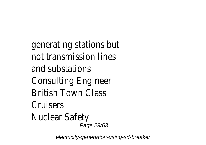generating stations but not transmission lines and substations. Consulting Engineer British Town Class Cruisers Nuclear Safety Page 29/63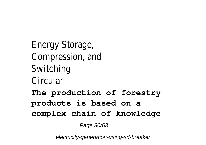Energy Storage, Compression, and Switching Circular **The production of forestry products is based on a complex chain of knowledge**

Page 30/63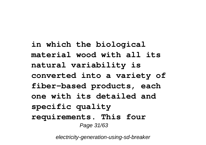**in which the biological material wood with all its natural variability is converted into a variety of fiber-based products, each one with its detailed and specific quality requirements. This four** Page 31/63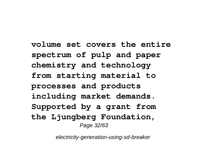**volume set covers the entire spectrum of pulp and paper chemistry and technology from starting material to processes and products including market demands. Supported by a grant from the Ljungberg Foundation,** Page 32/63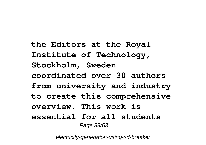**the Editors at the Royal Institute of Technology, Stockholm, Sweden coordinated over 30 authors from university and industry to create this comprehensive overview. This work is essential for all students** Page 33/63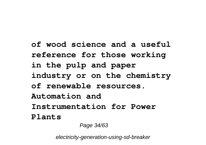**of wood science and a useful reference for those working in the pulp and paper industry or on the chemistry of renewable resources. Automation and Instrumentation for Power Plants**

Page 34/63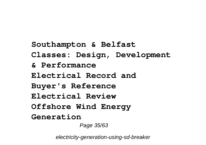**Southampton & Belfast Classes: Design, Development & Performance Electrical Record and Buyer's Reference Electrical Review Offshore Wind Energy Generation** Page 35/63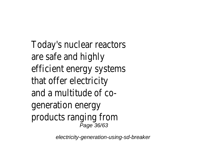Today's nuclear reactors are safe and highly efficient energy systems that offer electricity and a multitude of cogeneration energy products ranging from Page 36/63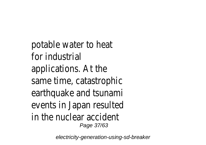potable water to heat for industrial applications. At the same time, catastrophic earthquake and tsunami events in Japan resulted in the nuclear accident Page 37/63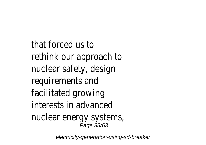that forced us to rethink our approach to nuclear safety, design requirements and facilitated growing interests in advanced nuclear energy systems, Page 38/63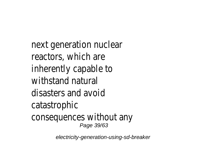next generation nuclear reactors, which are inherently capable to withstand natural disasters and avoid catastrophic consequences without any Page 39/63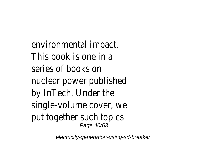environmental impact. This book is one in a series of books on nuclear power published by InTech. Under the single-volume cover, we put together such topics Page 40/63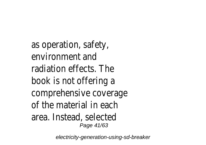as operation, safety, environment and radiation effects. The book is not offering a comprehensive coverage of the material in each area. Instead, selected Page 41/63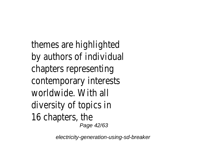themes are highlighted by authors of individual chapters representing contemporary interests worldwide. With all diversity of topics in 16 chapters, the Page 42/63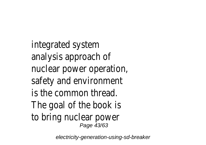integrated system analysis approach of nuclear power operation, safety and environment is the common thread. The goal of the book is to bring nuclear power Page 43/63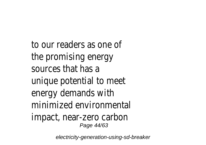to our readers as one of the promising energy sources that has a unique potential to meet energy demands with minimized environmental impact, near-zero carbon Page 44/63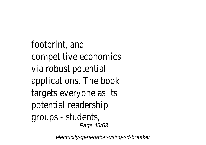footprint, and competitive economics via robust potential applications. The book targets everyone as its potential readership groups - students, Page 45/63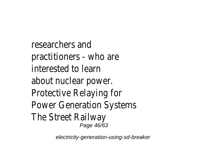researchers and practitioners - who are interested to learn about nuclear power. Protective Relaying for Power Generation Systems The Street Railway Page 46/63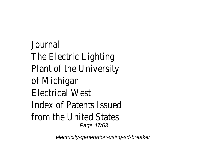Journal The Electric Lighting Plant of the University of Michigan Electrical West Index of Patents Issued from the United States Page 47/63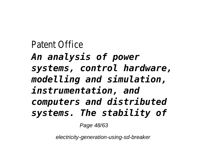Patent Office *An analysis of power systems, control hardware, modelling and simulation, instrumentation, and computers and distributed systems. The stability of*

Page 48/63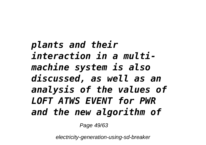*plants and their interaction in a multimachine system is also discussed, as well as an analysis of the values of LOFT ATWS EVENT for PWR and the new algorithm of*

Page 49/63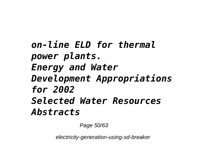*on-line ELD for thermal power plants. Energy and Water Development Appropriations for 2002 Selected Water Resources Abstracts*

Page 50/63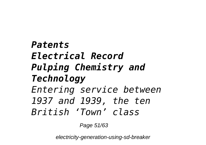## *Patents Electrical Record Pulping Chemistry and Technology Entering service between 1937 and 1939, the ten British 'Town' class*

Page 51/63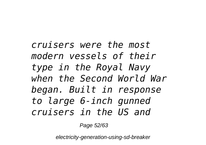*cruisers were the most modern vessels of their type in the Royal Navy when the Second World War began. Built in response to large 6-inch gunned cruisers in the US and*

Page 52/63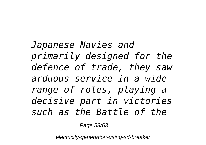*Japanese Navies and primarily designed for the defence of trade, they saw arduous service in a wide range of roles, playing a decisive part in victories such as the Battle of the*

Page 53/63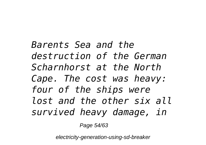*Barents Sea and the destruction of the German Scharnhorst at the North Cape. The cost was heavy: four of the ships were lost and the other six all survived heavy damage, in*

Page 54/63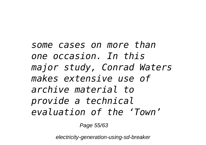*some cases on more than one occasion. In this major study, Conrad Waters makes extensive use of archive material to provide a technical evaluation of the 'Town'*

Page 55/63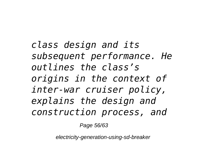*class design and its subsequent performance. He outlines the class's origins in the context of inter-war cruiser policy, explains the design and construction process, and*

Page 56/63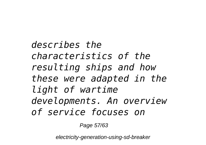*describes the characteristics of the resulting ships and how these were adapted in the light of wartime developments. An overview of service focuses on*

Page 57/63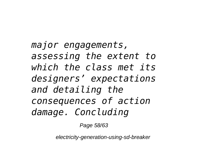*major engagements, assessing the extent to which the class met its designers' expectations and detailing the consequences of action damage. Concluding*

Page 58/63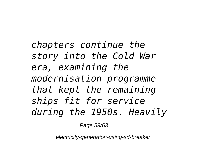*chapters continue the story into the Cold War era, examining the modernisation programme that kept the remaining ships fit for service during the 1950s. Heavily*

Page 59/63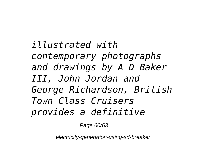*illustrated with contemporary photographs and drawings by A D Baker III, John Jordan and George Richardson, British Town Class Cruisers provides a definitive*

Page 60/63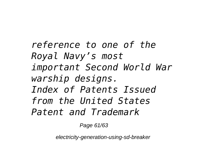*reference to one of the Royal Navy's most important Second World War warship designs. Index of Patents Issued from the United States Patent and Trademark*

Page 61/63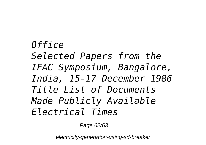## *Office Selected Papers from the IFAC Symposium, Bangalore, India, 15-17 December 1986 Title List of Documents Made Publicly Available Electrical Times*

Page 62/63